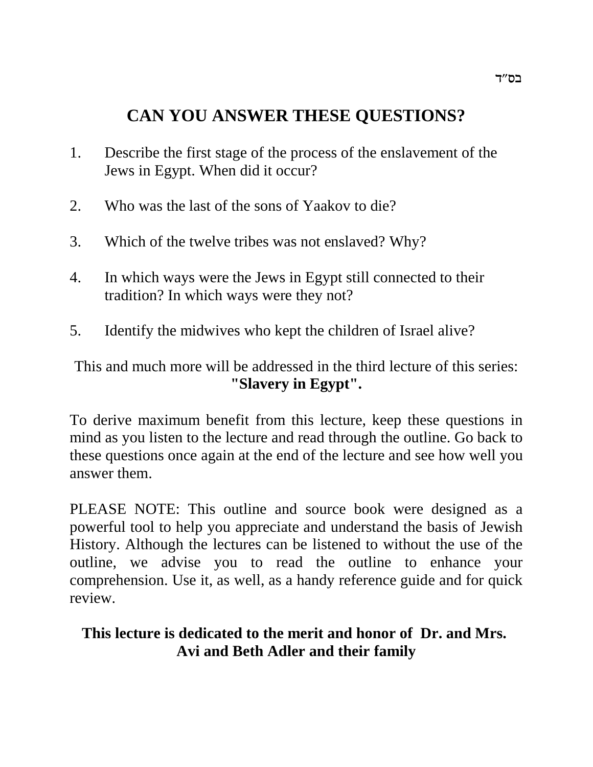# **CAN YOU ANSWER THESE QUESTIONS?**

- 1. Describe the first stage of the process of the enslavement of the Jews in Egypt. When did it occur?
- 2. Who was the last of the sons of Yaakov to die?
- 3. Which of the twelve tribes was not enslaved? Why?
- 4. In which ways were the Jews in Egypt still connected to their tradition? In which ways were they not?
- 5. Identify the midwives who kept the children of Israel alive?

This and much more will be addressed in the third lecture of this series: **"Slavery in Egypt".**

To derive maximum benefit from this lecture, keep these questions in mind as you listen to the lecture and read through the outline. Go back to these questions once again at the end of the lecture and see how well you answer them.

PLEASE NOTE: This outline and source book were designed as a powerful tool to help you appreciate and understand the basis of Jewish History. Although the lectures can be listened to without the use of the outline, we advise you to read the outline to enhance your comprehension. Use it, as well, as a handy reference guide and for quick review.

# **This lecture is dedicated to the merit and honor of Dr. and Mrs. Avi and Beth Adler and their family**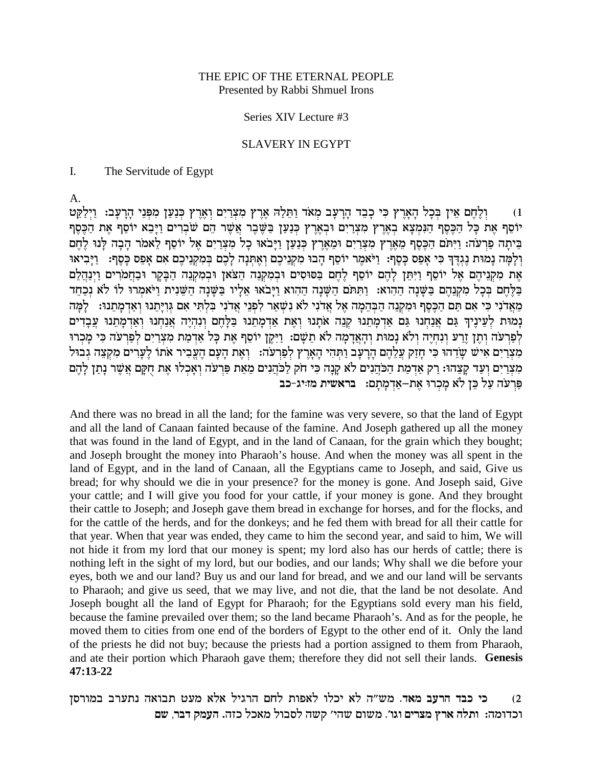### THE EPIC OF THE ETERNAL PEOPLE Presented by Rabbi Shmuel Irons

## Series XIV Lecture #3

### **SLAVERY IN EGYPT**

 $\mathbf{I}$ . The Servitude of Egypt

А.

וְלֵחֵם אֵין בִּכָל הַאֲרֵץ כִּי כָבֶד הַרַעֲב מָאֹד וַתֵּלַהּ אֶרֵץ מִצְרַיִם וְאֶרֶץ כִּנַעַן מִפְּנֵי הַרַעֲב: וַיִלַקֵּט  $(1)$ יוֹסֵף אֵת כָּל הַכֵּסֵף הַנִּמְצָא בְאֵרֵץ מִצְרַיִם וּבְאֶרֵץ כִּנַעַן בַּשֵּׁבֵר אֲשֵׁר הֵם שֹׁבְרִים וַיָּבֵא יוֹסֵף אֵת הַכֵּסֵף בֵּיתָה פַּרְעֹה: וַיִּתֹּם הַכֶּסֶף מֵאֶרֶץ מִצְרַיִם וּמֵאֶרֶץ כְּנַעַן וַיָּבֹאוּ כָל מִצְרַיִם אֶל יוֹסֵף לֵאמֹר הָבָה לְנוּ לֶחֶם וְלָמָה נָמוּת נֵגְדֵּךְ כִּי אָפֵס כָּסֵף: וַיֹּאמֵר יוֹסֵף הָבוּ מִקְנֵיכֵם וְאֵתְּנָה לָכֵם בִּמְקְנֵיכֵם אִם אָפֵס כָּסֵף: וַיָּבִיאוּ אֶת מְקִנֵיהֶם אֵל יוֹסֵף וַיִּתֵּן לַהֶם יוֹסֵף לֵחֶם בַּסּוּסִים וּבִמְקְנֵה הַצֹּאוָ וּבְמְקִנָּה הַבָּקַר וּבַחֲמֹרִים וַיִּנַהֲלֵם בַּלֵחֵם בְּכַל מִקְנָהֵם בַּשֵּׁנַה הַהִוא: וַתִּתֹּם הַשָּׁנַה הַהוא וַיַּבֹאוּ אֵלַיו בַּשֵּׁנָה הַשֵּׁנִית וַיֹּאמְרוּ לוֹ לֹא נִכְחֵד מָאֲדֹנִי כִּי אִם תַּם הַכֶּסֵף וּמִקְנֵה הַבְּהֵמָה אֵל אֲדֹנִי לֹא נִשְׁאַר לִפְנֵי אֲדֹנִי בִלְתִּי אִם גִּוְיַתֵנוּ וְאַדְמָתֵנוּ: `לָמַּה נָמוּת לְעֵינֵיךְ גַּם אֲנַחִנוּ גַּם אַדְמָתֵנוּ קְנֵה אֹתָנוּ וְאֶת אַדְמָתֵנוּ בַּלָּחֵם וְנִהְיֶה אֲנַחִנוּ וְאַדְמָתֵנוּ עֲבָדִים לְפַרְעֹה וְתֵן זֵרַע וְנִחְיֶה וְלֹא נָמוּת וְהָאֲדָמָה לֹא תֵשָׁם: וַיִּקֶן יוֹסֵף אֶת כָּל אַדְמַת מִצְרַיִם לְפַרְעֹה כִּי מְכְרוּ מְצְרֵיִם אִישׁ שָׂדֶהוּ כִּי חַזֵק עֲלֵהֶם הַרַעֲב וַתְּהִי הָאָרֶץ לְפַרְעֹה: וְאֶת הַעֲם הֶעֱבִיר אתו לֵעֲרִים מִקְצֶה גְבוּל מִצְרַיִם וְעַד קַצֵהוּ: רַק אַדְמַת הַכֹּהֲנִים לֹא קַנַה כִּי חֹק לַכֹּהֲנִים מֵאֶת פַּרְעֹה וְאָכְלוּ אֶת חִקַּם אֲשֶׁר נַתַּן לַהֶם פרעה על כן לא מכרו את–אדמתם: בראשית מזייג-כב

And there was no bread in all the land; for the famine was very severe, so that the land of Egypt and all the land of Canaan fainted because of the famine. And Joseph gathered up all the money that was found in the land of Egypt, and in the land of Canaan, for the grain which they bought; and Joseph brought the money into Pharaoh's house. And when the money was all spent in the land of Egypt, and in the land of Canaan, all the Egyptians came to Joseph, and said, Give us bread; for why should we die in your presence? for the money is gone. And Joseph said, Give your cattle; and I will give you food for your cattle, if your money is gone. And they brought their cattle to Joseph; and Joseph gave them bread in exchange for horses, and for the flocks, and for the cattle of the herds, and for the donkeys; and he fed them with bread for all their cattle for that year. When that year was ended, they came to him the second year, and said to him, We will not hide it from my lord that our money is spent; my lord also has our herds of cattle; there is nothing left in the sight of my lord, but our bodies, and our lands; Why shall we die before your eyes, both we and our land? Buy us and our land for bread, and we and our land will be servants to Pharaoh; and give us seed, that we may live, and not die, that the land be not desolate. And Joseph bought all the land of Egypt for Pharaoh; for the Egyptians sold every man his field, because the famine prevailed over them; so the land became Pharaoh's. And as for the people, he moved them to cities from one end of the borders of Egypt to the other end of it. Only the land of the priests he did not buy; because the priests had a portion assigned to them from Pharaoh, and ate their portion which Pharaoh gave them; therefore they did not sell their lands. Genesis  $47:13-22$ 

כי כבד הרעב מאד. מש״ה לא יכלו לאפות לחם הרגיל אלא מעט תבואה נתערב במורסן  $(2)$ וכדומה: ותלה ארץ מצרים וגו'. משום שהי' קשה לסבול מאכל כזה. העמק דבר, שם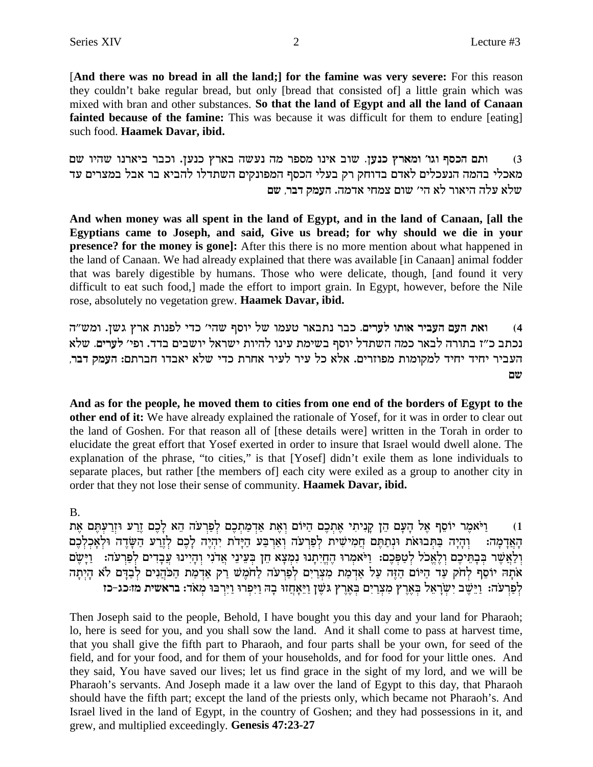[And there was no bread in all the land;] for the famine was very severe: For this reason they couldn't bake regular bread, but only [bread that consisted of] a little grain which was mixed with bran and other substances. So that the land of Egypt and all the land of Canaan fainted because of the famine: This was because it was difficult for them to endure [eating] such food. Haamek Davar, ibid.

ותם הכסף וגו' ומארץ כנען. שוב אינו מספר מה נעשה בארץ כנען. וכבר ביארנו שהיו שם  $(3)$ מאכלי בהמה הנעכלים לאדם בדוחק רק בעלי הכסף המפונקים השתדלו להביא בר אבל במצרים עד שלא עלה היאור לא הי׳ שום צמחי אדמה. העמק דבר. שם

And when money was all spent in the land of Egypt, and in the land of Canaan, [all the Egyptians came to Joseph, and said, Give us bread; for why should we die in your **presence?** for the money is gone]: After this there is no more mention about what happened in the land of Canaan. We had already explained that there was available [in Canaan] animal fodder that was barely digestible by humans. Those who were delicate, though, [and found it very difficult to eat such food,] made the effort to import grain. In Egypt, however, before the Nile rose, absolutely no vegetation grew. Haamek Davar, ibid.

ואת העם העביר אותו לערים. כבר נתבאר טעמו של יוסף שהי׳ כדי לפנות ארץ גשן. ומש״ה  $(4)$ נכתב כ״ז בתורה לבאר כמה השתדל יוסף בשימת עינו להיות ישראל יושבים בדד. ופי׳ לערים. שלא העביר יחיד יחיד למקומות מפוזרים. אלא כל עיר לעיר אחרת כדי שלא יאבדו חברתם: העמק דבר, שם

And as for the people, he moved them to cities from one end of the borders of Egypt to the other end of it: We have already explained the rationale of Yosef, for it was in order to clear out the land of Goshen. For that reason all of [these details were] written in the Torah in order to elucidate the great effort that Yosef exerted in order to insure that Israel would dwell alone. The explanation of the phrase, "to cities," is that [Yosef] didn't exile them as lone individuals to separate places, but rather [the members of] each city were exiled as a group to another city in order that they not lose their sense of community. Haamek Davar, ibid.

## **B.**

וַיֹּאמֶר יוֹסֵף אֵל הַעָּם הֶן קַנִיתִי אֶתְכֶם הַיּוֹם וְאֵת אַדְמַתְכֶם לְפַרִעֹה הֵא לַכֶם זֵרַע וּזְרַעְתֵּם אֶת  $(1)$ וְהָיָה בַּתְּבוּאֹת וּנְתַתֵּם חֲמִישִׂית לְפַרְעֹה וְאַרְבַּע הַיָּדֹת יְהְיֶה לַכֶם לְזֵרַע הַשָּׂדֶה וּלְאַכְלְכֵם האדמה: וְלַאֲשֶׁר בְּבָתֵיכֶם וְלָאֲכֹל לְטַפְּכֶם: וַיֹּאמְרוּ הֶחֵיִתְנוּ נִמְצָא חֶן בְּעֵינֵי אֲדֹנִי וְהָיִינוּ עֲבָדִים לְפַרְעֹה: ۚ וַיַּשֵׁם אֹתָה יוֹסֵף לְחֹק עַד הַיּוֹם הַזֶּה עַל אַדְמַת מִצְרַיִם לְפַרְעֹה לַחֹמֵשׁ רַק אַדְמַת הַכֹּהֲנִים לְבַדֵּם לֹא הַיִתַה לְפַרְעֹה: וַיֵּשֶׁב יִשְׂרָאֵל בְּאֶרֶץ מִצְרַיִם בְּאֶרֶץ גּשֵׁן וַיֵּאֲחֲזוּ בָה וַיִּפְרוּ וַיִּרְבּוּ מִאֹד: בראשית מזוכג-כז

Then Joseph said to the people, Behold, I have bought you this day and your land for Pharaoh; lo, here is seed for you, and you shall sow the land. And it shall come to pass at harvest time, that you shall give the fifth part to Pharaoh, and four parts shall be your own, for seed of the field, and for your food, and for them of your households, and for food for your little ones. And they said, You have saved our lives; let us find grace in the sight of my lord, and we will be Pharaoh's servants. And Joseph made it a law over the land of Egypt to this day, that Pharaoh should have the fifth part; except the land of the priests only, which became not Pharaoh's. And Israel lived in the land of Egypt, in the country of Goshen; and they had possessions in it, and grew, and multiplied exceedingly. Genesis 47:23-27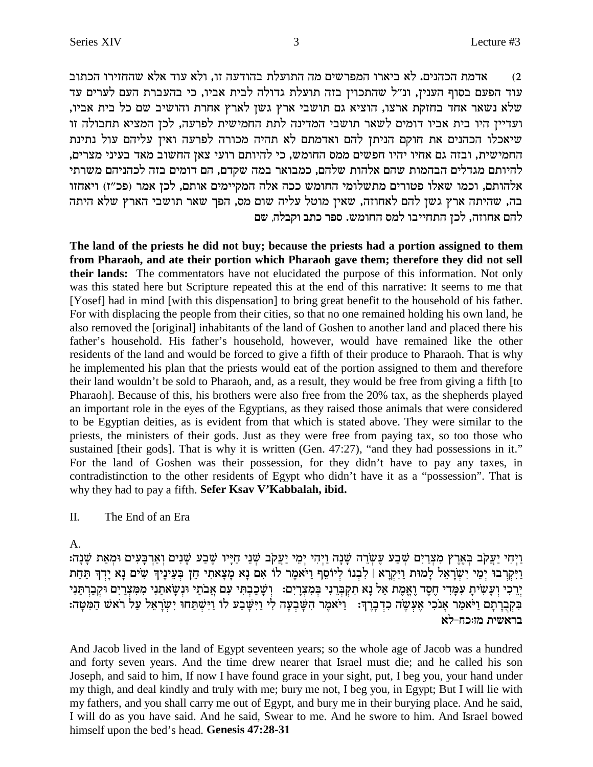אדמת הכהנים. לא ביארו המפרשים מה התועלת בהודעה זו, ולא עוד אלא שהחזירו הכתוב  $\,2\,$ עוד הפעם בסוף הענין, ונ"ל שהתכוין בזה תועלת גדולה לבית אביו, כי בהעברת העם לערים עד ,שלא נשאר אחד בחזקת ארצו, הוציא גם תושבי ארץ גשן לארץ אחרת והושיב שם כל בית אביו ועדיין היו בית אביו דומים לשאר תושבי המדינה לתת החמישית לפרעה, לכן המציא תחבולה זו שיאכלו הכהנים את חוקם הניתן להם ואדמתם לא תהיה מכורה לפרעה ואין עליהם עול נתינת החמישית, ובזה גם אחיו יהיו חפשים ממס החומש, כי להיותם רועי צאן החשוב מאד בעיני מצרים, להיותם מגדלים הבהמות שהם אלהות שלהם, כמבואר במה שקדם, הם דומים בזה לכהניהם משרתי אלהותם, וכמו שאלו פטורים מתשלומי החומש ככה אלה המקיימים אותם, לכן אמר (פכ"ז) ויאחזו בה, שהיתה ארץ גשן להם לאחוזה, שאין מוטל עליה שום מס, הפך שאר תושבי הארץ שלא היתה להם אחוזה, לכז התחייבו למס החומש. ספר כתב וקבלה, שם

**The land of the priests he did not buy; because the priests had a portion assigned to them from Pharaoh, and ate their portion which Pharaoh gave them; therefore they did not sell their lands:** The commentators have not elucidated the purpose of this information. Not only was this stated here but Scripture repeated this at the end of this narrative: It seems to me that [Yosef] had in mind [with this dispensation] to bring great benefit to the household of his father. For with displacing the people from their cities, so that no one remained holding his own land, he also removed the [original] inhabitants of the land of Goshen to another land and placed there his father's household. His father's household, however, would have remained like the other residents of the land and would be forced to give a fifth of their produce to Pharaoh. That is why he implemented his plan that the priests would eat of the portion assigned to them and therefore their land wouldn't be sold to Pharaoh, and, as a result, they would be free from giving a fifth [to Pharaoh]. Because of this, his brothers were also free from the 20% tax, as the shepherds played an important role in the eyes of the Egyptians, as they raised those animals that were considered to be Egyptian deities, as is evident from that which is stated above. They were similar to the priests, the ministers of their gods. Just as they were free from paying tax, so too those who sustained [their gods]. That is why it is written (Gen. 47:27), "and they had possessions in it." For the land of Goshen was their possession, for they didn't have to pay any taxes, in contradistinction to the other residents of Egypt who didn't have it as a "possession". That is why they had to pay a fifth. **Sefer Ksav V'Kabbalah, ibid.**

### II. The End of an Era

A.

:בְּיִחִי יַעֲקֹב בִּאֲרֶץ מִצְרַיִם שָׁבַע עֵשְׂרֶה שָׁנָה: יָמֵי יַעֲקֹב שָׁנֵי חַיַּיו שֵׁבַע שָׁנִים וָאַרִבַּעִים וּמִאַת שָׁנָה: נִיקרִבוּ יִמֵי יִשְׂרָאֵל לָמוּת וַיִּקְרָא | לְבְנוֹ לִיוֹסֵף וַיֹּאמֵר לוֹ אִם נָא מָצָאתִי חֵן בִּעֵינֵיךְ שִׂים נָא יָדְךְ תַּחַת יִרְכִי וְעַשְׂיתַ עִפְּדִי חֵסֶד וֵאֱמֶת אַל נָא תִקְבְּרִנִי בְּמִצְרַיִם: וְשָׁבַבְתִּי עִם אֲבֹתַי וּנְשֵׂאתֲנִי מִמְּצְרַיִם וּקִבְרִתַּנִי בִּקְבָרְתָם וַיֹּאמַר אָנֹכִי אֶעְשֶׂה כִדְבָרֶךְ: וֹיֹּאמֶר הִשָּׁבִעָה לִי וַיִּשְׁפַע לוֹ וַיִּשְׁתַּחוּ יִשְׂרָאֵל עַל רֹאשׁ הַמִּטָּה: **בראשית מז:כח-לא** 

And Jacob lived in the land of Egypt seventeen years; so the whole age of Jacob was a hundred and forty seven years. And the time drew nearer that Israel must die; and he called his son Joseph, and said to him, If now I have found grace in your sight, put, I beg you, your hand under my thigh, and deal kindly and truly with me; bury me not, I beg you, in Egypt; But I will lie with my fathers, and you shall carry me out of Egypt, and bury me in their burying place. And he said, I will do as you have said. And he said, Swear to me. And he swore to him. And Israel bowed himself upon the bed's head. **Genesis 47:28-31**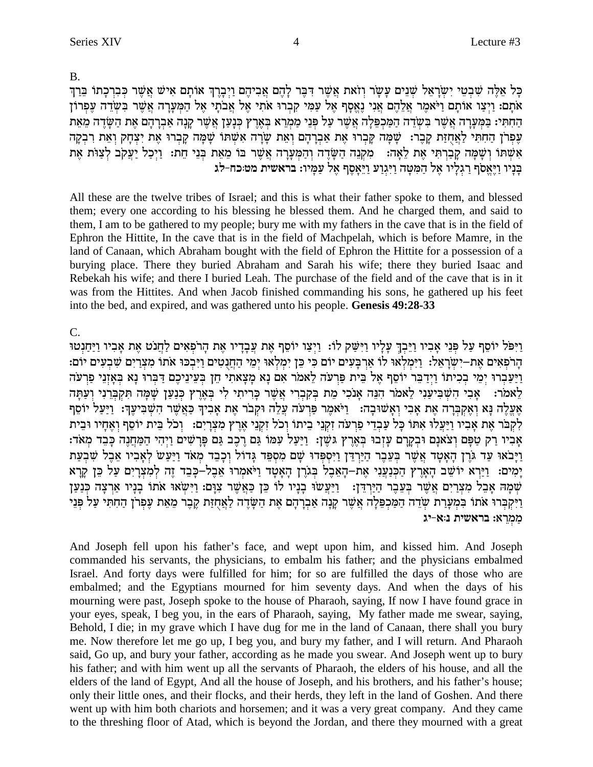$B<sub>1</sub>$ 

כַּל אֲלֶה שִׁבְטֵי יִשְׂרָאֵל שֶׁנֵים עַשַׂר וַזֹאת אֲשֶׁר דְּבֶּר לָהֶם אֲבִיהֶם וַיְבַרֶךְ אוֹתַם אִישׁ אֲשֶׁר כִּבְרְכָתוֹ בֵּרְךָ אתם: וַיִצַו אותם וַיֹּאמֶר אֲלֵהֶם אֲנִי נֵאֱסַף אֵל עַמִי קִבְרוּ אֹתִי אֵל אֲבֹתַי אֵל הַמִּעֲרָה אֲשֶׁר בִּשְׂדֵה עֵפְרוֹן הַחִתִּי: בַּמַּעֲרָה אֲשֶׁר בְּשֶׂדֶה הַמַּכְפֶּלֶה אֲשֶׁר עַל פִּנֵי מַמְרֵא בִּאֲרֶץ כִּנַעַן אֲשֶׁר קַנָה אַבְרַהָם אֶת הַשַּׂדֶה מֵאֶת עֶפִרן הַחְתִּי לַאֲחֻזַּת קָבֶר: שָׁמָּה קָבְרוּ אֶת אַבְרָהָם וְאֵת שָׂרָה אִשִּׁתּוֹ שָׁמָּה קָבְרוּ אֶת יִצְחָק וְאֵת רִבְקָה אִשְׁתּוֹ וְשָׁמָּה קַבְרִתִּי אֵת לֵאָה: מִקְנֵה הַשָּׂדֵה וְהַמִּעָרָה אֲשֵׁר בּוֹ מֵאֵת בְּנֵי חֵת: וַיִּכַל יַעֲקֹב לְצַוֹּת אֵת בַּנָיו וַיֵּאֵסֹף רַגְלָיו אֱל הַמִּטַּה וַיִּגְוַע וַיֵּאֲסֵף אֶל עַמַּיו: בראשית מט:כח-לג

All these are the twelve tribes of Israel; and this is what their father spoke to them, and blessed them; every one according to his blessing he blessed them. And he charged them, and said to them, I am to be gathered to my people; bury me with my fathers in the cave that is in the field of Ephron the Hittite, In the cave that is in the field of Machpelah, which is before Mamre, in the land of Canaan, which Abraham bought with the field of Ephron the Hittite for a possession of a burying place. There they buried Abraham and Sarah his wife; there they buried Isaac and Rebekah his wife; and there I buried Leah. The purchase of the field and of the cave that is in it was from the Hittites. And when Jacob finished commanding his sons, he gathered up his feet into the bed, and expired, and was gathered unto his people. Genesis 49:28-33

# $\overline{C}$ .

וַיִּפֹּל יוֹסֵף עַל פְּנֵי אָבְיו וַיֵּבְךָ עָלָיו וַיִּשָּׁק לוֹ: וַיִּצַו יוֹסֵף אֶת עֲבָדָיו אֶת הָרֹפְאִים לַחֲנֹט אֶת אָבְיו וַיַּחַנְטוּ הַרפְאִים אֶת–יִשְׂרָאֵל: וַיִּמְלְאוּ לוֹ אַרְבַּעִים יוֹם כִּי כֵּן יִמְלְאוּ יִמֵי הַחֲנְטִים וַיִּבְכּוּ אתו מִצְרַיִם שְׁבְעִים יוֹם: וַיַּעַבְרוּ יְמֵי בְכִיתוֹ וַיִּדַבֵּר יוֹסֵף אֵל בֵּית פַּרְעֹה לֵאמֹר אִם נָא מַצָאתִי חֵן בִּעֵינֵיכֵם דַּבְרוּ נָא בְּאָזְנֵי פַרְעֹה לָאמֹר: אֲבִי הִשְׁבִּיעֲנִי לָאמֹר הִנֵּה אֲנֹכִי מֶת בִּקְבְרִי אֲשֶׁר כַּרִיתִי לִי בְּאֶרֶץ כְּנַעַן שַׁמַּה תִּקְבְרִנִי וְעָתַּה אֶעֱלֶה נַּא וְאֶקְבְּרָה אֶת אָבִי וְאַשׁוּבָה: [יֹּאמֶר פַּרְעֹה עֲלֶה וּקְבֹר אֶת אַבְיךָ כַּאֲשֶׁר הָשְׁבִּיעֵךְ: וַיַּעֲל יוֹסֵף לְקִבֹּר אֶת אַבְיו וַיַּעֲלוּ אִתּוֹ כָּל עַבְדֵי פַרְעֹה זְקְנֵי בֵיתוֹ וְכֹל זְקְנֵי אֶרֶץ מְצְרַיִם: [כֹל בֵּית יוֹסֵף וְאֶחָיו וּבֵית אָרִיו רַק טַפַּם וְצֹאנָם וּבְקָרַם עַזְבוּ בְּאֶרֶץ גֹּשֶׁן: וַיַּעֲלֹ עִמּוֹ גַּם רֲכֶב גַּם פַּרָשִׁים וַיִּהִי הַמַּחֲנֵה כָּבֶד מְאֹד: וַיְבֹאוּ עַד גֹּרֶן הָאָטָד אֲשֶׁר בִּעֲבֶר הַיַּרְדֵן וַיִּסְפִּדוּ שָׁם מִסְפֵּד גָּדוֹל וִכָבֵד מִאֹד וַיַּעַשׁ לְאָבִיו אָבֵל שִׂבְעַת ימים: וַיַּרָא יוֹשֶׁב הַאֲרִץ הַכְּנַעֲנִי אֶת–הָאָבְל בְּגֹרֶן הָאֲטַד וַיֹּאמְרוּ אֲבָל–כַּבֶד זֶה לִמְצַרִים עַל כֵּן קַרָא שְׁמָה אָבֵל מִצְרַיִם אֲשֶׁר בְּעֵבֶר הַיַּרְדֵן: וַיַּעֲשׁוּ בָנָיו לוֹ כֵּן כַּאֲשֶׁר צִוָּם: וַיִּשֵׂאוּ אֹתוֹ בָנָיו אַרִצָה כִּנְעַן וַיִּקְבְּרוּ אֹתוֹ בִּמְעַרַת שְׂדֵה הַמַּכְפֵּלָה אֲשֶׁר קַנָּה אַבְרָהָם אֶת הַשָּׂדֵה לַאֲחָזַת קֵבֶר מֵאֶת עֵפְרֹן הַחִתִּי עַל פִּנֵי ממרא: בראשית נ:א-יג

And Joseph fell upon his father's face, and wept upon him, and kissed him. And Joseph commanded his servants, the physicians, to embalm his father; and the physicians embalmed Israel. And forty days were fulfilled for him; for so are fulfilled the days of those who are embalmed: and the Egyptians mourned for him seventy days. And when the days of his mourning were past, Joseph spoke to the house of Pharaoh, saying, If now I have found grace in your eyes, speak, I beg you, in the ears of Pharaoh, saying, My father made me swear, saying, Behold, I die; in my grave which I have dug for me in the land of Canaan, there shall you bury me. Now therefore let me go up, I beg you, and bury my father, and I will return. And Pharaoh said, Go up, and bury your father, according as he made you swear. And Joseph went up to bury his father; and with him went up all the servants of Pharaoh, the elders of his house, and all the elders of the land of Egypt, And all the house of Joseph, and his brothers, and his father's house; only their little ones, and their flocks, and their herds, they left in the land of Goshen. And there went up with him both chariots and horsemen; and it was a very great company. And they came to the threshing floor of Atad, which is beyond the Jordan, and there they mourned with a great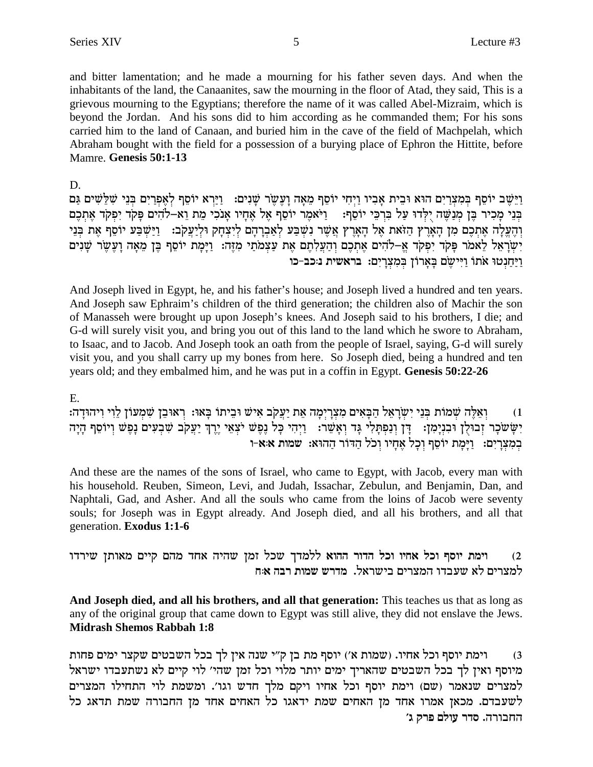and bitter lamentation; and he made a mourning for his father seven days. And when the inhabitants of the land, the Canaanites, saw the mourning in the floor of Atad, they said, This is a grievous mourning to the Egyptians; therefore the name of it was called Abel-Mizraim, which is beyond the Jordan. And his sons did to him according as he commanded them; For his sons carried him to the land of Canaan, and buried him in the cave of the field of Machpelah, which Abraham bought with the field for a possession of a burying place of Ephron the Hittite, before Mamre. Genesis 50:1-13

D.

וַיֵּשֵׁב יוֹסֵף בִּמְצְרַיִם הוּא וּבֵית אַבְיו וַיִּחִי יוֹסֵף מֵאָה וַעֲשֶׂר שַׁנִים: [יַרָא יוֹסֵף לְאֵפְרַיִם בְּנֵי שָׁלֵשִׁים גַּם בְּנֵי מַכִיר בֵּן מִנַשֵּׁה יִלְדוּ עַל בְּרְבֵּי יוֹסֵף: | וַיֹּאמֵר יוֹסֵף אֵל אֶחַיו אַנֹכִי מֵת וֵא–לֹהִים פַּקֹד יִפְקֹד אֶתְכֶם והעלה אתכם מן הארץ הזאת אל הארץ אַשֶׁר נְשִׁבַּע לאָבְרָהֶם לִיצַחַק וּלִיַעֲקֹב: - וַיַּשַּׁבַּע יוֹסֵף אֶת בְּנֵי יְשַׂרָאֵל לֵאמֹר פַּקֹד יִפְקֹד אֵ–לֹהִים אֶתְכֶם וְהַעֲלָתֶם אֶת עַצְמֹתֵי מְזֶה: וַיַּמַת יוֹסֵף בֵּן מֵאָה וַעֲשֶׂר שַׁנִים וַיַּחֲנְטוּ אֹתוֹ וַיִּיְשֶׂם בַּאֲרוֹן בִּמְצְרַיִם: בראשית נוכב-כו

And Joseph lived in Egypt, he, and his father's house; and Joseph lived a hundred and ten years. And Joseph saw Ephraim's children of the third generation; the children also of Machir the son of Manasseh were brought up upon Joseph's knees. And Joseph said to his brothers, I die; and G-d will surely visit you, and bring you out of this land to the land which he swore to Abraham, to Isaac, and to Jacob. And Joseph took an oath from the people of Israel, saying, G-d will surely visit you, and you shall carry up my bones from here. So Joseph died, being a hundred and ten years old; and they embalmed him, and he was put in a coffin in Egypt. Genesis 50:22-26

## Ε.

וְאֵלֶה שִׁמוֹת בְּנֵי יְשְׂרָאֵל הַבָּאִים מִצְרָיִמָה אֵת יַעֲקֹב אִישׁ וּבֵיתוֹ בָּאוּ: רְאוּבֵן שִׁמְעוֹן לֵוִי וִיהוּדָה:  $(1)$ יְשָׂשׂכָר זְבוּלֻן וּבִנְיָמְן: דֶּן וְנַפִּתֲלִי גָּד וְאָשֵׁר: וַיִּהִי כָּל נֶפֶּשׁ יֹצְאֵי יֶרֶךְ יַעֲקֹב שִׁבְעִים נָפֶּשׁ וְיוֹסֵף הָיָה במצרים: וימת יוסף וכל אחיו וכל הדור ההוא: שמות א:א-ו

And these are the names of the sons of Israel, who came to Egypt, with Jacob, every man with his household. Reuben, Simeon, Levi, and Judah, Issachar, Zebulun, and Benjamin, Dan, and Naphtali, Gad, and Asher. And all the souls who came from the loins of Jacob were seventy souls; for Joseph was in Egypt already. And Joseph died, and all his brothers, and all that generation. Exodus 1:1-6

וימת יוסף וכל אחיו וכל הדור ההוא ללמדך שכל זמן שהיה אחד מהם קיים מאותן שירדו  $(2)$ למצרים לא שעבדו המצרים בישראל. מדרש שמות רבה א<sub>י</sub>ח

And Joseph died, and all his brothers, and all that generation: This teaches us that as long as any of the original group that came down to Egypt was still alive, they did not enslave the Jews. **Midrash Shemos Rabbah 1:8** 

וימת יוסף וכל אחיו. (שמות א') יוסף מת בן ק"י שנה אין לך בכל השבטים שקצר ימים פחות  $(3)$ מיוסף ואין לך בכל השבטים שהאריך ימים יותר מלוי וכל זמן שהי׳ לוי קיים לא נשתעבדו ישראל למצרים שנאמר (שם) וימת יוסף וכל אחיו ויקם מלך חדש וגו'. ומשמת לוי התחילו המצרים לשעבדם. מכאן אמרו אחד מן האחים שמת ידאגו כל האחים אחד מן החבורה שמת תדאג כל החבורה. סדר עולם פרק ג'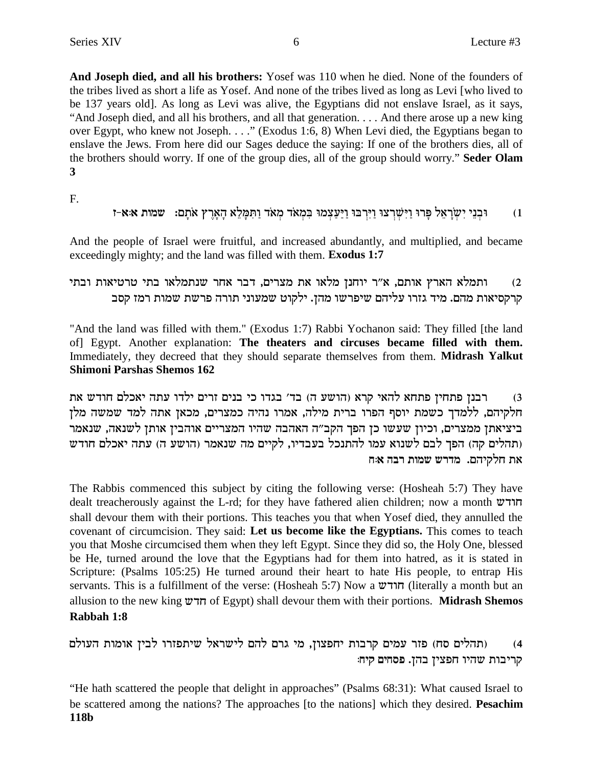And Joseph died, and all his brothers: Yosef was 110 when he died. None of the founders of the tribes lived as short a life as Yosef. And none of the tribes lived as long as Levi [who lived to be 137 years old). As long as Levi was alive, the Egyptians did not enslave Israel, as it says, "And Joseph died, and all his brothers, and all that generation... And there arose up a new king over Egypt, who knew not Joseph. . . ." (Exodus 1:6, 8) When Levi died, the Egyptians began to enslave the Jews. From here did our Sages deduce the saying: If one of the brothers dies, all of the brothers should worry. If one of the group dies, all of the group should worry." Seder Olam  $\mathbf{3}$ 

 $F_{\cdot}$ 

And the people of Israel were fruitful, and increased abundantly, and multiplied, and became exceedingly mighty; and the land was filled with them. Exodus 1:7

ותמלא הארץ אותם, א״ר יוחנן מלאו את מצרים, דבר אחר שנתמלאו בתי טרטיאות ובתי  $(2)$ קרקסיאות מהם. מיד גזרו עליהם שיפרשו מהן. ילקוט שמעוני תורה פרשת שמות רמז קסב

"And the land was filled with them." (Exodus 1:7) Rabbi Yochanon said: They filled [the land of] Egypt. Another explanation: The theaters and circuses became filled with them. Immediately, they decreed that they should separate themselves from them. Midrash Yalkut **Shimoni Parshas Shemos 162** 

רבנן פתחין פתחא להאי קרא (הושע ה) בד׳ בגדו כי בנים זרים ילדו עתה יאכלם חודש את  $(3)$ חלקיהם, ללמדך כשמת יוסף הפרו ברית מילה, אמרו נהיה כמצרים, מכאן אתה למד שמשה מלן ביציאתן ממצרים, וכיון שעשו כן הפך הקב"ה האהבה שהיו המצריים אוהבין אותן לשנאה, שנאמר (תהלים קה) הפך לבם לשנוא עמו להתנכל בעבדיו, לקיים מה שנאמר (הושע ה) עתה יאכלם חודש את חלקיהם. מדרש שמות רבה א:ח

The Rabbis commenced this subject by citing the following verse: (Hosheah 5:7) They have dealt treacherously against the L-rd; for they have fathered alien children; now a month  $w\tau$ shall devour them with their portions. This teaches you that when Yosef died, they annulled the covenant of circumcision. They said: Let us become like the Egyptians. This comes to teach you that Moshe circumcised them when they left Egypt. Since they did so, the Holy One, blessed be He, turned around the love that the Egyptians had for them into hatred, as it is stated in Scripture: (Psalms 105:25) He turned around their heart to hate His people, to entrap His servants. This is a fulfillment of the verse: (Hosheah 5:7) Now a חודש (literally a month but an allusion to the new king  $\pi$ רדש of Egypt) shall devour them with their portions. Midrash Shemos Rabbah 1:8

(תהלים סח) פזר עמים קרבות יחפצון, מי גרם להם לישראל שיתפזרו לבין אומות העולם  $(4)$ קריבות שהיו חפצין בהן. פסחים קיח:

"He hath scattered the people that delight in approaches" (Psalms 68:31): What caused Israel to be scattered among the nations? The approaches [to the nations] which they desired. Pesachim 118b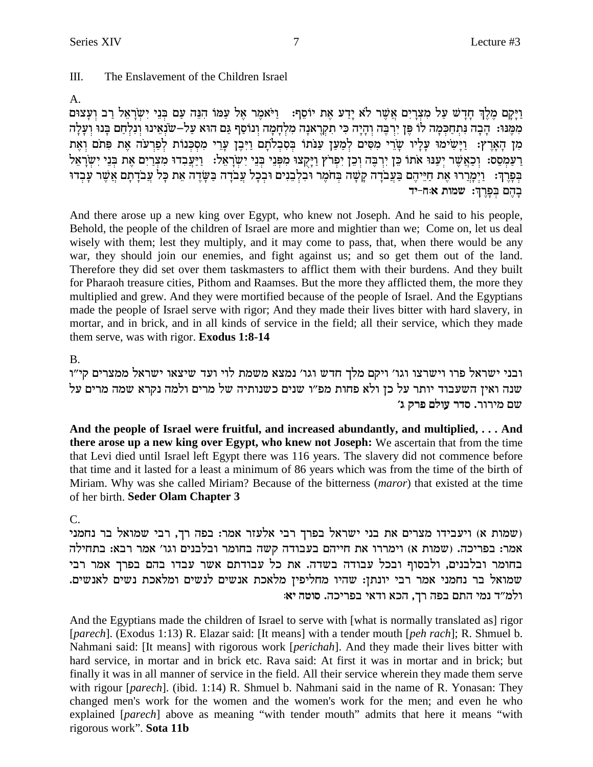#### $III.$ The Enslavement of the Children Israel

# $A_{\cdot}$

וַיָּקָם מֶלֶךְ חָדָשׁ עַל מִצְרָיִם אֲשֶׁר לֹא יָדַע אֵת יוֹסֵף: [יֹאמֵר אֵל עַמּוֹ הִגֵּה עַם בִּנֵי יִשְׂרַאֵל רַב וְעַצוּם מִמֵּנוּ: הַבָה נַתְחַכְּמָה לוֹ פֵּן יִרְבֵה וְהַיָּה כִּי תִקְרָאנָה מַלְחָמָה וְנוֹסֵף גֵּם הוּא עַל–שנָאֵינוּ וְנַלְחָם בַּנוּ וְעַלָה מן הארץ: וַיַּשִׂימוּ עַלֵיו שָׂרֵי מִסִּים לְמַעַן עַנֹּתוֹ בְסִבְלֹתַם וַיְּבֵן עָרֵי מִסְכְּנוֹת לְפָרִעֹה אֶת פִּתֹם וְאֶת רַעַמְסֵס: וְכַאֲשֶׁר יְעַנּוּ אֹתוֹ כֵּן יִרְבֶּה וְכֵן יִפְרֹץ וַיָּקְצוּ מִפְּנֵי בְּנֵי יִשְׂרָאֵל: וַיַּעֲבִדוּ מִצְיַיִם אַת בִּנֵי יִשְׂרָאֵל בִּפְרֵךְ: וַיִּמְרֵרוּ אֶת חַיֵּיהֵם בַּעֲבֹדָה קָשָׁה בִּחֹמֵר וּבְלְבֵנִים וּבְכָל עֲבֹדָה בַּשָּׂדֵה אֶת כָּל עֲבֹדָתָם אֲשֶׁר עָבִדוּ בְהֶם בִּפְרְךָ: שמות אוּח-יד

And there arose up a new king over Egypt, who knew not Joseph. And he said to his people, Behold, the people of the children of Israel are more and mightier than we; Come on, let us deal wisely with them; lest they multiply, and it may come to pass, that, when there would be any war, they should join our enemies, and fight against us; and so get them out of the land. Therefore they did set over them taskmasters to afflict them with their burdens. And they built for Pharaoh treasure cities, Pithom and Raamses. But the more they afflicted them, the more they multiplied and grew. And they were mortified because of the people of Israel. And the Egyptians made the people of Israel serve with rigor; And they made their lives bitter with hard slavery, in mortar, and in brick, and in all kinds of service in the field; all their service, which they made them serve, was with rigor. Exodus 1:8-14

# **B.**

ובני ישראל פרו וישרצו וגו׳ ויקם מלך חדש וגו׳ נמצא משמת לוי ועד שיצאו ישראל ממצרים קי״ו שנה ואין השעבוד יותר על כן ולא פחות מפ״ו שנים כשנותיה של מרים ולמה נקרא שמה מרים על שם מירור. סדר עולם פרק ג׳

And the people of Israel were fruitful, and increased abundantly, and multiplied, ... And there arose up a new king over Egypt, who knew not Joseph: We ascertain that from the time that Levi died until Israel left Egypt there was 116 years. The slavery did not commence before that time and it lasted for a least a minimum of 86 years which was from the time of the birth of Miriam. Why was she called Miriam? Because of the bitterness (maror) that existed at the time of her birth. Seder Olam Chapter 3

# $\mathcal{C}$

שמות א) ויעבידו מצרים את בני ישראל בפרך רבי אלעזר אמר: בפה רך, רבי שמואל בר נחמני ( אמר: בפריכה. (שמות א) וימררו את חייהם בעבודה קשה בחומר ובלבנים וגו' אמר רבא: בתחילה בחומר ובלבנים, ולבסוף ובכל עבודה בשדה. את כל עבודתם אשר עבדו בהם בפרך אמר רבי שמואל בר נחמני אמר רבי יונתן: שהיו מחליפין מלאכת אנשים לנשים ומלאכת נשים לאנשים. ולמ״ד נמי התם בפה רך, הכא ודאי בפריכה. סוטה יא:

And the Egyptians made the children of Israel to serve with [what is normally translated as] rigor [parech]. (Exodus 1:13) R. Elazar said: [It means] with a tender mouth [peh rach]; R. Shmuel b. Nahmani said: [It means] with rigorous work [*perichah*]. And they made their lives bitter with hard service, in mortar and in brick etc. Rava said: At first it was in mortar and in brick; but finally it was in all manner of service in the field. All their service wherein they made them serve with rigour [*parech*]. (ibid. 1:14) R. Shmuel b. Nahmani said in the name of R. Yonasan: They changed men's work for the women and the women's work for the men; and even he who explained [parech] above as meaning "with tender mouth" admits that here it means "with rigorous work". Sota 11b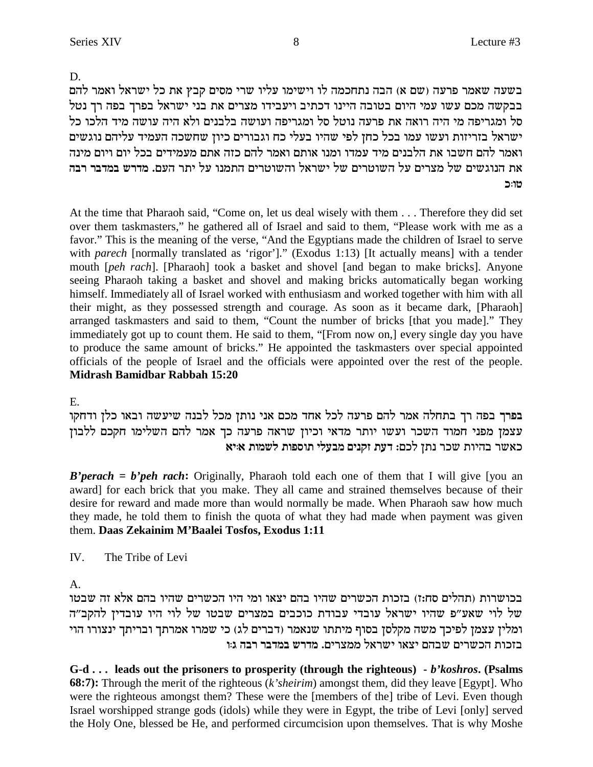D.

בשעה שאמר פרעה (שם א) הבה נתחכמה לו וישימו עליו שרי מסים קבץ את כל ישראל ואמר להם בבקשה מכם עשו עמי היום בטובה היינו דכתיב ויעבידו מצרים את בני ישראל בפרך בפה רך נטל סל ומגריפה מי היה רואה את פרעה נוטל סל ומגריפה ועושה בלבנים ולא היה עושה מיד הלכו כל ישראל בזריזות ועשו עמו בכל כחן לפי שהיו בעלי כח וגבורים כיון שחשכה העמיד עליהם נוגשים ואמר להם חשבו את הלבנים מיד עמדו ומנו אותם ואמר להם כזה אתם מעמידים בכל יום ויום מינה <mark>את הנוגשים של מצרים על השוטרים של ישראל והשוטרים התמנו על יתר העם. מדרש במדבר רבה</mark> **k:eh**

At the time that Pharaoh said, "Come on, let us deal wisely with them . . . Therefore they did set over them taskmasters," he gathered all of Israel and said to them, "Please work with me as a favor." This is the meaning of the verse, "And the Egyptians made the children of Israel to serve with *parech* [normally translated as 'rigor']." (Exodus 1:13) [It actually means] with a tender mouth [*peh rach*]. [Pharaoh] took a basket and shovel [and began to make bricks]. Anyone seeing Pharaoh taking a basket and shovel and making bricks automatically began working himself. Immediately all of Israel worked with enthusiasm and worked together with him with all their might, as they possessed strength and courage. As soon as it became dark, [Pharaoh] arranged taskmasters and said to them, "Count the number of bricks [that you made]." They immediately got up to count them. He said to them, "[From now on,] every single day you have to produce the same amount of bricks." He appointed the taskmasters over special appointed officials of the people of Israel and the officials were appointed over the rest of the people. **Midrash Bamidbar Rabbah 15:20**

E.

בפרך בפה רך בתחלה אמר להם פרעה לכל אחד מכם אני נותן מכל לבנה שיעשה ובאו כלן ודחקו עצמן מפני חמוד השכר ועשו יותר מדאי וכיון שראה פרעה כך אמר להם השלימו חקכם ללבון **`i:` zenyl zetqez ilran mipwf zrc** :mkl ozp xky zeida xy`k

*B'perach = b'peh rach*: Originally, Pharaoh told each one of them that I will give [you an award] for each brick that you make. They all came and strained themselves because of their desire for reward and made more than would normally be made. When Pharaoh saw how much they made, he told them to finish the quota of what they had made when payment was given them. **Daas Zekainim M'Baalei Tosfos, Exodus 1:11**

IV. The Tribe of Levi

A.

בכושרות (תהלים סח:ז) בזכות הכשרים שהיו בהם יצאו ומי היו הכשרים שהיו בהם אלא זה שבטו של לוי שאע"פ שהיו ישראל עובדי עבודת כוכבים במצרים שבטו של לוי היו עובדין להקב"ה ומלין עצמן לפיכך משה מקלסן בסוף מיתתו שנאמר (דברים לג) כי שמרו אמרתך ובריתך ינצורו הוי בזכות הכשרים שבהם יצאו ישראל ממצרים. מדרש במדבר רבה ג:ו

**G-d . . . leads out the prisoners to prosperity (through the righteous) -** *b'koshros***. (Psalms 68:7):** Through the merit of the righteous (*k'sheirim*) amongst them, did they leave [Egypt]. Who were the righteous amongst them? These were the [members of the] tribe of Levi. Even though Israel worshipped strange gods (idols) while they were in Egypt, the tribe of Levi [only] served the Holy One, blessed be He, and performed circumcision upon themselves. That is why Moshe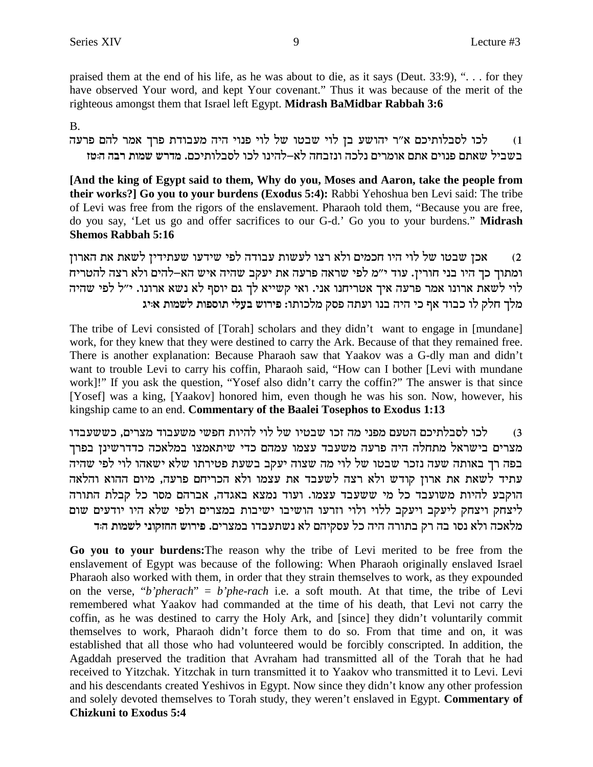praised them at the end of his life, as he was about to die, as it says (Deut. 33:9), "... for they have observed Your word, and kept Your covenant." Thus it was because of the merit of the righteous amongst them that Israel left Egypt. Midrash BaMidbar Rabbah 3:6

# **B.**

לכו לסבלותיכם א״ר יהושע בן לוי שבטו של לוי פנוי היה מעבודת פרך אמר להם פרעה  $(1)$ בשביל שאתם פנוים אתם אומרים נלכה ונזבחה לא–להינו לכו לסבלותיכם. מדרש שמות רבה ה:טז

[And the king of Egypt said to them, Why do you, Moses and Aaron, take the people from their works?] Go you to your burdens (Exodus 5:4): Rabbi Yehoshua ben Levi said: The tribe of Levi was free from the rigors of the enslavement. Pharaoh told them, "Because you are free, do you say, 'Let us go and offer sacrifices to our G-d.' Go you to your burdens." Midrash **Shemos Rabbah 5:16** 

אכן שבטו של לוי היו חכמים ולא רצו לעשות עבודה לפי שידעו שעתידין לשאת את הארון  $(2)$ ומתוך כך היו בני חורין. עוד י"מ לפי שראה פרעה את יעקב שהיה איש הא-להים ולא רצה להטריח לוי לשאת ארונו. אמר פרעה איך אטריחנו אני. ואי קשייא לך גם יוסף לא נשא ארונו. י"ל לפי שהיה מלך חלק לו כבוד אף כי היה בנו ועתה פסק מלכותו: פירוש בעלי תוספות לשמות איג

The tribe of Levi consisted of [Torah] scholars and they didn't want to engage in [mundane] work, for they knew that they were destined to carry the Ark. Because of that they remained free. There is another explanation: Because Pharaoh saw that Yaakov was a G-dly man and didn't want to trouble Levi to carry his coffin, Pharaoh said, "How can I bother [Levi with mundane work]!" If you ask the question, "Yosef also didn't carry the coffin?" The answer is that since [Yosef] was a king, [Yaakov] honored him, even though he was his son. Now, however, his kingship came to an end. Commentary of the Baalei Tosephos to Exodus 1:13

לכו לסבלתיכם הטעם מפני מה זכו שבטיו של לוי להיות חפשי משעבוד מצרים, כששעבדו  $(3)$ מצרים בישראל מתחלה היה פרעה משעבד עצמו עמהם כדי שיתאמצו במלאכה כדדרשינן בפרך בפה רך באותה שעה נזכר שבטו של לוי מה שצוה יעקב בשעת פטירתו שלא ישאהו לוי לפי שהיה עתיד לשאת את ארון קודש ולא רצה לשעבד את עצמו ולא הכריחם פרעה, מיום ההוא והלאה הוקבע להיות משועבד כל מי ששעבד עצמו. ועוד נמצא באגדה, אברהם מסר כל קבלת התורה ליצחק ויצחק ליעקב ויעקב ללוי ולוי וזרעו הושיבו ישיבות במצרים ולפי שלא היו יודעים שום מלאכה ולא נסו בה רק בתורה היה כל עסקיהם לא נשתעבדו במצרים. פירוש החזקוני לשמות הד

Go you to your burdens: The reason why the tribe of Levi merited to be free from the enslavement of Egypt was because of the following: When Pharaoh originally enslaved Israel Pharaoh also worked with them, in order that they strain themselves to work, as they expounded on the verse, "b'pherach" = b'phe-rach i.e. a soft mouth. At that time, the tribe of Levi remembered what Yaakov had commanded at the time of his death, that Levi not carry the coffin, as he was destined to carry the Holy Ark, and [since] they didn't voluntarily commit themselves to work, Pharaoh didn't force them to do so. From that time and on, it was established that all those who had volunteered would be forcibly conscripted. In addition, the Agaddah preserved the tradition that Avraham had transmitted all of the Torah that he had received to Yitzchak. Yitzchak in turn transmitted it to Yaakov who transmitted it to Levi. Levi and his descendants created Yeshivos in Egypt. Now since they didn't know any other profession and solely devoted themselves to Torah study, they weren't enslaved in Egypt. Commentary of **Chizkuni to Exodus 5:4**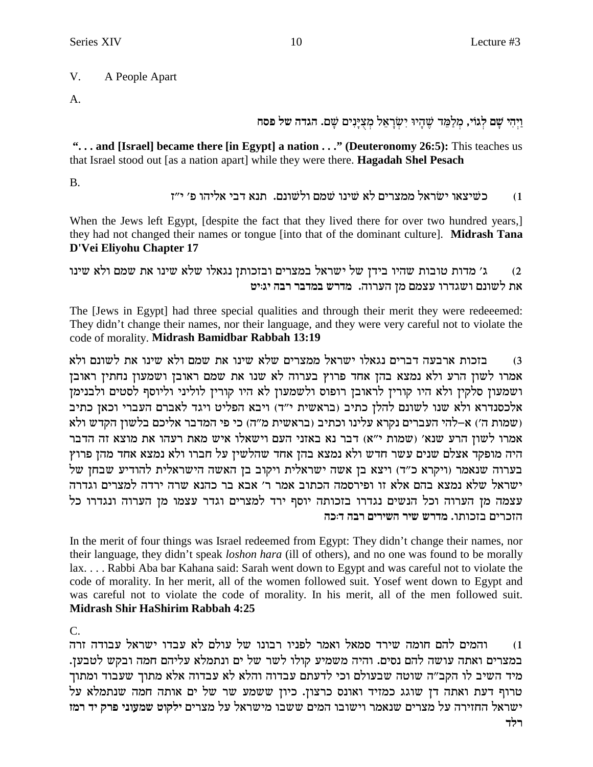#### $V_{.}$ A People Apart

 $\mathbf{A}$ .

וַיִּהִי שַׁם לְגוֹי, מִלַמֵּד שֵׁהָיוּ יִשְׂרָאֵל מִצְיַנִים שַׁם. הגדה של פּסח

"... and [Israel] became there [in Egypt] a nation ..." (Deuteronomy 26:5): This teaches us that Israel stood out [as a nation apart] while they were there. **Hagadah Shel Pesach** 

 $B<sub>1</sub>$ 

כשיצאו ישראל ממצרים לא שינו שמם ולשונם. תנא דבי אליהו פ׳ י״ז  $(1)$ 

When the Jews left Egypt, [despite the fact that they lived there for over two hundred years,] they had not changed their names or tongue [into that of the dominant culture]. Midrash Tana D'Vei Eliyohu Chapter 17

ג׳ מדות טובות שהיו בידן של ישראל במצרים ובזכותן נגאלו שלא שינו את שמם ולא שינו  $(2)$ את לשונם ושגדרו עצמם מן הערוה. מדרש במדבר רבה יגויט

The [Jews in Egypt] had three special qualities and through their merit they were redeeemed: They didn't change their names, nor their language, and they were very careful not to violate the code of morality. Midrash Bamidbar Rabbah 13:19

בזכות ארבעה דברים נגאלו ישראל ממצרים שלא שינו את שמם ולא שינו את לשונם ולא  $(3)$ אמרו לשון הרע ולא נמצא בהן אחד פרוץ בערוה לא שנו את שמם ראובן ושמעון נחתין ראובן ושמעון סלקין ולא היו קורין לראובן רופוס ולשמעון לא היו קורין לוליני וליוסף לסטים ולבנימן אלכסנדרא ולא שנו לשונם להלן כתיב (בראשית י"ד) ויבא הפליט ויגד לאברם העברי וכאן כתיב ולא (שמות ה') א-להי העברים נקרא עלינו וכתיב (בראשית מ"ה) כי פי המדבר אליכם בלשון הקדש ולא אמרו לשון הרע שנא' (שמות י"א) דבר נא באזני העם וישאלו איש מאת רעהו את מוצא זה הדבר היה מופקד אצלם שנים עשר חדש ולא נמצא בהן אחד שהלשין על חברו ולא נמצא אחד מהן פרוץ בערוה שנאמר (ויקרא כ"ד) ויצא בן אשה ישראלית ויקוב בן האשה הישראלית להודיע שבחן של ישראל שלא נמצא בהם אלא זו ופירסמה הכתוב אמר ר' אבא בר כהנא שרה ירדה למצרים וגדרה עצמה מן הערוה וכל הנשים נגדרו בזכותה יוסף ירד למצרים וגדר עצמו מן הערוה ונגדרו כל הזכרים בזכותו. מדרש שיר השירים רבה ד:כה

In the merit of four things was Israel redeemed from Egypt: They didn't change their names, nor their language, they didn't speak *loshon hara* (ill of others), and no one was found to be morally lax.... Rabbi Aba bar Kahana said: Sarah went down to Egypt and was careful not to violate the code of morality. In her merit, all of the women followed suit. Yosef went down to Egypt and was careful not to violate the code of morality. In his merit, all of the men followed suit. **Midrash Shir HaShirim Rabbah 4:25** 

 $C_{\cdot}$ 

והמים להם חומה שירד סמאל ואמר לפניו רבונו של עולם לא עבדו ישראל עבודה זרה  $(1)$ במצרים ואתה עושה להם נסים. והיה משמיע קולו לשר של ים ונתמלא עליהם חמה ובקש לטבען. מיד השיב לו הקב"ה שוטה שבעולם וכי לדעתם עבדוה והלא לא עבדוה אלא מתוך שעבוד ומתוך טרוף דעת ואתה דן שוגג כמזיד ואונס כרצון. כיון ששמע שר של ים אותה חמה שנתמלא על ישראל החזירה על מצרים שנאמר וישובו המים ששבו מישראל על מצרים ילקוט שמעוני פרק יד רמז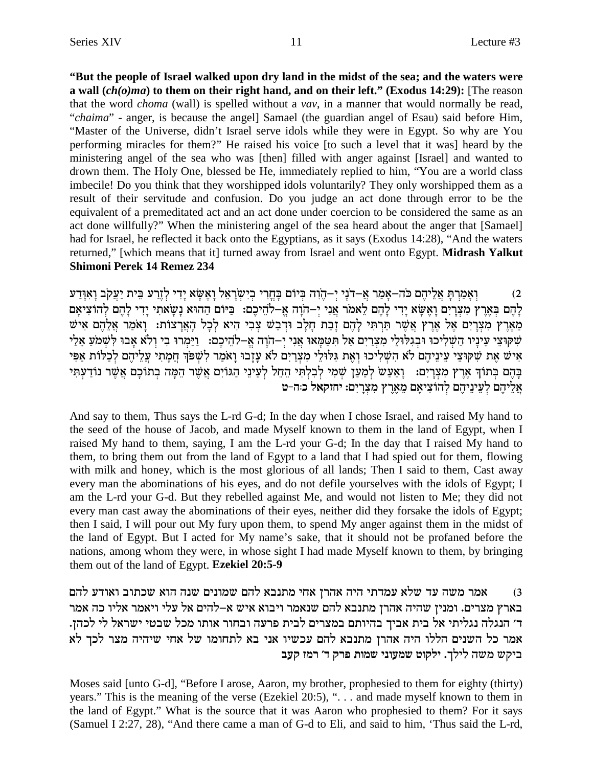**"But the people of Israel walked upon dry land in the midst of the sea; and the waters were a wall (***ch(o)ma***) to them on their right hand, and on their left." (Exodus 14:29):** [The reason that the word *choma* (wall) is spelled without a *vav*, in a manner that would normally be read, "*chaima*" - anger, is because the angel] Samael (the guardian angel of Esau) said before Him, "Master of the Universe, didn't Israel serve idols while they were in Egypt. So why are You performing miracles for them?" He raised his voice [to such a level that it was] heard by the ministering angel of the sea who was [then] filled with anger against [Israel] and wanted to drown them. The Holy One, blessed be He, immediately replied to him, "You are a world class imbecile! Do you think that they worshipped idols voluntarily? They only worshipped them as a result of their servitude and confusion. Do you judge an act done through error to be the equivalent of a premeditated act and an act done under coercion to be considered the same as an act done willfully?" When the ministering angel of the sea heard about the anger that [Samael] had for Israel, he reflected it back onto the Egyptians, as it says (Exodus 14:28), "And the waters returned," [which means that it] turned away from Israel and went onto Egypt. **Midrash Yalkut Shimoni Perek 14 Remez 234**

rc©E®`¶ e® aowr£ i© ziA• rx©f§lß ic¶i® `V® `§ e® l`• x®oyß i¶aß ix¶g¢A® mFiAß de¶od§ -iß ip®oc-`£ xn© `® -doM md§ il• `£ Y® xßn© `® eß (2 להם בארץ מצרים ואשא ידי להם לאמר אני י−הוה א−להיכם: `ביום ההוא נשאתי ידי להם להוציאם מארץ מצרים אל ארץ אשר תרתי להם זבת חלב ודבש צבי היא לכל הארצות: ואמר אלהם איש שִׁקוּצֵי עֵינַיו הַשִׁלִיכוּ וּבְגִלּוּלֵי מִצְרַיִם אֲל תִּטַמַּאוּ אֲנִי יִ−הוַה אֵ−לֹהֵיכֵם: [יַמְרוּ בִי וְלֹא אָבוּ לְשָׁמֹעַ אֶלַי איש את שקוצי עיניהם לא השליכו ואת גלולי מצרים לא עזבו ואמר לשפך חמתי עליהם לכלות אפי בַּהֵם בְּתוֹךְ אֲרֵץ מִצְרַיִם:  $\,$ וַאֲעֲשׁ לְמַעֲן שִׁמִי לְבְלְתִי הֲהֵל לְעֵינֵי הַגּוֹיָם אֲשֵׁר הֲמֵה בְתוֹכָם אֲשֵׁר נוֹדַעִתִּי **אליהם לעיניהם להוציאם מארץ מצרים: יחזקאל כ:ה−ט** 

And say to them, Thus says the L-rd G-d; In the day when I chose Israel, and raised My hand to the seed of the house of Jacob, and made Myself known to them in the land of Egypt, when I raised My hand to them, saying, I am the L-rd your G-d; In the day that I raised My hand to them, to bring them out from the land of Egypt to a land that I had spied out for them, flowing with milk and honey, which is the most glorious of all lands; Then I said to them, Cast away every man the abominations of his eyes, and do not defile yourselves with the idols of Egypt; I am the L-rd your G-d. But they rebelled against Me, and would not listen to Me; they did not every man cast away the abominations of their eyes, neither did they forsake the idols of Egypt; then I said, I will pour out My fury upon them, to spend My anger against them in the midst of the land of Egypt. But I acted for My name's sake, that it should not be profaned before the nations, among whom they were, in whose sight I had made Myself known to them, by bringing them out of the land of Egypt. **Ezekiel 20:5-9**

אמר משה עד שלא עמדתי היה אהרן אחי מתנבא להם שמונים שנה הוא שכתוב ואודע להם  $\,$ בארץ מצרים. ומנין שהיה אהרן מתנבא להם שנאמר ויבוא איש א–להים אל עלי ויאמר אליו כה אמר ד' הנגלה נגליתי אל בית אביך בהיותם במצרים לבית פרעה ובחור אותו מכל שבטי ישראל לי לכהן. .<br>אמר כל השנים הללו היה אהרן מתנבא להם עכשיו אני בא לתחומו של אחי שיהיה מצר לכך לא **arw fnx 'c wxt zeny iperny hewli** .jlil dyn ywia

Moses said [unto G-d], "Before I arose, Aaron, my brother, prophesied to them for eighty (thirty) years." This is the meaning of the verse (Ezekiel 20:5), ". . . and made myself known to them in the land of Egypt." What is the source that it was Aaron who prophesied to them? For it says (Samuel I 2:27, 28), "And there came a man of G-d to Eli, and said to him, 'Thus said the L-rd,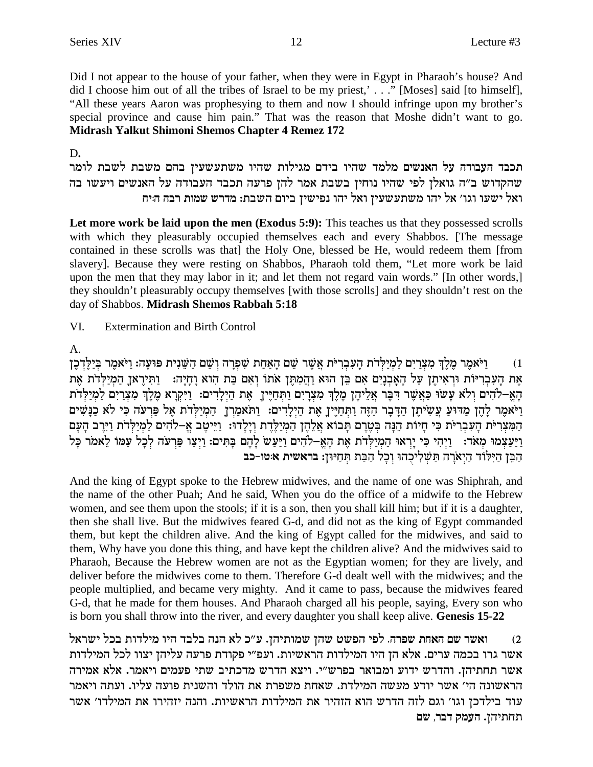Did I not appear to the house of your father, when they were in Egypt in Pharaoh's house? And did I choose him out of all the tribes of Israel to be my priest,'..." [Moses] said [to himself], "All these years Aaron was prophesying to them and now I should infringe upon my brother's special province and cause him pain." That was the reason that Moshe didn't want to go. Midrash Yalkut Shimoni Shemos Chapter 4 Remez 172

### D.

תכבד העבודה על האנשים מלמד שהיו בידם מגילות שהיו משתעשעין בהם משבת לשבת לומר שהקדוש ב״ה גואלן לפי שהיו נוחיז בשבת אמר להז פרעה תכבד העבודה על האנשים ויעשו בה ואל ישעו וגו׳ אל יהו משתעשעין ואל יהו נפישין ביום השבת: מדרש שמות רבה היח

Let more work be laid upon the men (Exodus 5:9): This teaches us that they possessed scrolls with which they pleasurably occupied themselves each and every Shabbos. [The message contained in these scrolls was that] the Holy One, blessed be He, would redeem them [from slavery]. Because they were resting on Shabbos, Pharaoh told them, "Let more work be laid upon the men that they may labor in it; and let them not regard vain words." [In other words,] they shouldn't pleasurably occupy themselves [with those scrolls] and they shouldn't rest on the day of Shabbos. Midrash Shemos Rabbah 5:18

VI. **Extermination and Birth Control** 

# A.

ויֹאמר מלך מצרים למילדת העברית אשר שם האחת שפרה ושם השנית פועה: ויֹאמר בילדכן  $(1)$ אֶת הַעִּבְרִיּוֹת וּרְאִיתֵן עַל הַאֲבְנֵיִם אִם בֵּן הוּא וַהֲמְתֵּן אֹתוֹ וְאִם בַּת הוא וַחֲיַה: וַתְּיִרְאֹן הַמִיַלְדֹת אֶת הא-להים ולא עשו כאשר דבר אליהן מלך מצרים ותחיין, את הילדים: ויקרא מלך מצרים למילדת וַיֹּאמֶר לְהֶן מַדּוּעַ עֲשִׂיתֶן הַדְּבָר הַזֶּה וַתְּחַיֶּיךָ אֶת הַיְלָדִים: וַתּאמַרְךָ הַמְיַלְדֹת אֵל פַּרְעֹה כִּי לֹא כַּנַּשִּׁים הַמְצְרִיּת הַעִּבְרִיּת כִּי חַיוֹת הֵנָּה בְּטֶרֶם תַּבוֹא אֲלֶהֶן הַמְיַלֵּדֶת וְיַלְדוּ: וַיֵּיְטֶב אֱ–לֹהִים לַמְיַלְדֹת וַיִּיֶב הָעָם וַיַּעַצְמוּ מְאֹד: וַיְהִי כִּי יָרְאוּ הַמְיַלְדֹת אֶת הָאֶ–לֹהִים וַיַּעַשׁ לְהֶם בָּתִּים: וַיְצַו פַּרְעֹה לְכָל עַמּוֹ לֵאמֹר כָּל הַבֵּן הַיִּלוֹד הַיִאֹרָה תַּשְׁלִיכְהוּ וִכְל הַבַּת תִּחַיּוֹן: בראשית אוטו-כב

And the king of Egypt spoke to the Hebrew midwives, and the name of one was Shiphrah, and the name of the other Puah; And he said, When you do the office of a midwife to the Hebrew women, and see them upon the stools; if it is a son, then you shall kill him; but if it is a daughter, then she shall live. But the midwives feared G-d, and did not as the king of Egypt commanded them, but kept the children alive. And the king of Egypt called for the midwives, and said to them, Why have you done this thing, and have kept the children alive? And the midwives said to Pharaoh, Because the Hebrew women are not as the Egyptian women; for they are lively, and deliver before the midwives come to them. Therefore G-d dealt well with the midwives; and the people multiplied, and became very mighty. And it came to pass, because the midwives feared G-d, that he made for them houses. And Pharaoh charged all his people, saying, Every son who is born you shall throw into the river, and every daughter you shall keep alive. Genesis 15-22

ואשר שם האחת שפרה. לפי הפשט שהן שמותיהן. ע״כ לא הנה בלבד היו מילדות בכל ישראל  $(2)$ אשר גרו בכמה ערים. אלא הן היו המילדות הראשיות. ועפ"י פקודת פרעה עליהן יצוו לכל המילדות אשר תחתיהן. והדרש ידוע ומבואר בפרש"י. ויצא הדרש מדכתיב שתי פעמים ויאמר. אלא אמירה הראשונה הי' אשר יודע מעשה המילדת. שאחת משפרת את הולד והשנית פועה עליו. ועתה ויאמר עוד בילדכן וגו' וגם לזה הדרש הוא הזהיר את המילדות הראשיות. והנה יזהירו את המילדו' אשר תחתיהן. העמק דבר, שם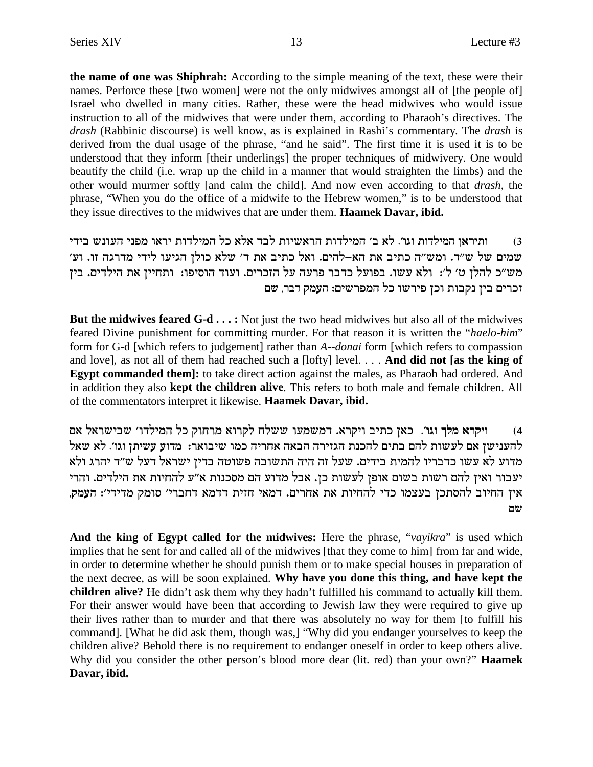the name of one was Shiphrah: According to the simple meaning of the text, these were their names. Perforce these [two women] were not the only midwives amongst all of [the people of] Israel who dwelled in many cities. Rather, these were the head midwives who would issue instruction to all of the midwives that were under them, according to Pharaoh's directives. The drash (Rabbinic discourse) is well know, as is explained in Rashi's commentary. The drash is derived from the dual usage of the phrase, "and he said". The first time it is used it is to be understood that they inform [their underlings] the proper techniques of midwivery. One would beautify the child (i.e. wrap up the child in a manner that would straighten the limbs) and the other would murmer softly [and calm the child]. And now even according to that *drash*, the phrase, "When you do the office of a midwife to the Hebrew women," is to be understood that they issue directives to the midwives that are under them. Haamek Davar, ibid.

ותיראז המילדות וגו׳. לא ב׳ המילדות הראשיות לבד אלא כל המילדות יראו מפני העונש בידי  $(3)$ שמים של ש״ד. ומש״ה כתיב את הא–להים. ואל כתיב את ד׳ שלא כולן הגיעו לידי מדרגה זו. וע׳ מש״כ להלן ט׳ ל׳: ולא עשו. בפועל כדבר פרעה על הזכרים. ועוד הוסיפו: ותחיין את הילדים. בין זכרים בין נקבות וכן פירשו כל המפרשים: העמק דבר, שם

But the midwives feared G-d . . . : Not just the two head midwives but also all of the midwives feared Divine punishment for committing murder. For that reason it is written the "haelo-him" form for G-d [which refers to judgement] rather than A--donai form [which refers to compassion and love], as not all of them had reached such a [lofty] level... And did not [as the king of **Egypt commanded them**: to take direct action against the males, as Pharaoh had ordered. And in addition they also **kept the children alive**. This refers to both male and female children. All of the commentators interpret it likewise. Haamek Davar, ibid.

ויקרא מלך וגו׳. כאן כתיב ויקרא. דמשמעו ששלח לקרוא מרחוק כל המילדו׳ שבישראל אם  $(4)$ להענישן אם לעשות להם בתים להכנת הגזירה הבאה אחריה כמו שיבואר: מדוע עשיתן וגו׳. לא שאל מדוע לא עשו כדבריו להמית בידים. שעל זה היה התשובה פשוטה בדין ישראל דעל ש״ד יהרג ולא יעבור ואין להם רשות בשום אופן לעשות כן. אבל מדוע הם מסכנות א״ע להחיות את הילדים. והרי אין החיוב להסתכן בעצמו כדי להחיות את אחרים. דמאי חזית דדמא דחברי׳ סומק מדידי׳: העמק, שם

And the king of Egypt called for the midwives: Here the phrase, "vayikra" is used which implies that he sent for and called all of the midwives [that they come to him] from far and wide, in order to determine whether he should punish them or to make special houses in preparation of the next decree, as will be soon explained. Why have you done this thing, and have kept the **children alive?** He didn't ask them why they hadn't fulfilled his command to actually kill them. For their answer would have been that according to Jewish law they were required to give up their lives rather than to murder and that there was absolutely no way for them [to fulfill his command]. [What he did ask them, though was,] "Why did you endanger yourselves to keep the children alive? Behold there is no requirement to endanger oneself in order to keep others alive. Why did you consider the other person's blood more dear (lit. red) than your own?" Haamek Davar, ibid.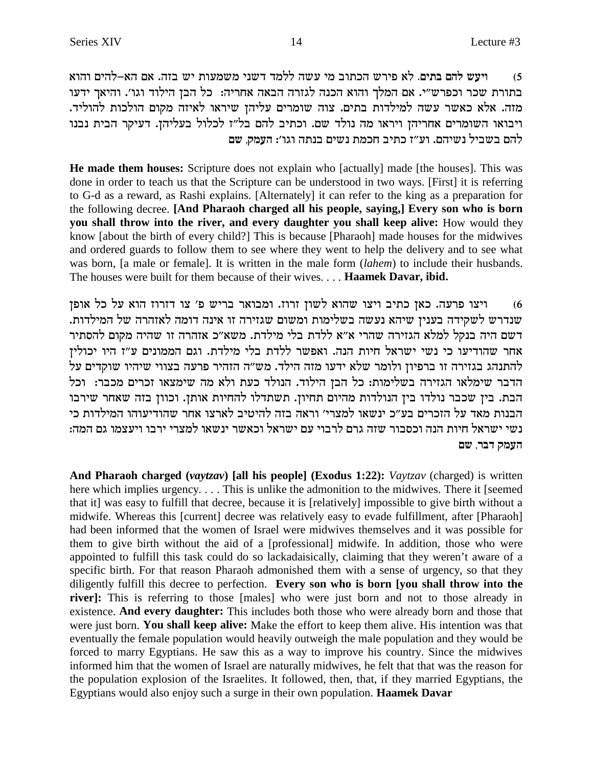ויעש להם בתים. לא פירש הכתוב מי עשה ללמד דשני משמעות יש בזה. אם הא–להים והוא  $(5)$ בתורת שכר וכפרש"י. אם המלך והוא הכנה לגזרה הבאה אחריה: כל הבן הילוד וגו'. והיאך ידעו מזה. אלא כאשר עשה למילדות בתים. צוה שומרים עליהן שיראו לאיזה מקום הולכות להוליד. ויבואו השומרים אחריהן ויראו מה נולד שם. וכתיב להם בל"ז לכלול בעליהן. דעיקר הבית נבנו להם בשביל נשיהם. וע"ז כתיב חכמת נשים בנתה וגו': העמק, שם

**He made them houses:** Scripture does not explain who [actually] made [the houses]. This was done in order to teach us that the Scripture can be understood in two ways. [First] it is referring to G-d as a reward, as Rashi explains. [Alternately] it can refer to the king as a preparation for the following decree. [And Pharaoh charged all his people, saying,] Every son who is born you shall throw into the river, and every daughter you shall keep alive: How would they know [about the birth of every child?] This is because [Pharaoh] made houses for the midwives and ordered guards to follow them to see where they went to help the delivery and to see what was born, [a male or female]. It is written in the male form *(lahem)* to include their husbands. The houses were built for them because of their wives.... Haamek Davar, ibid.

ויצו פרעה. כאן כתיב ויצו שהוא לשון זרוז. ומבואר בריש פ׳ צו דזרוז הוא על כל אופן  $(6)$ שנדרש לשקידה בענין שיהא נעשה בשלימות ומשום שגזירה זו אינה דומה לאזהרה של המילדות. דשם היה בנקל למלא הגזירה שהרי א"א ללדת בלי מילדת. משא"כ אזהרה זו שהיה מקום להסתיר אחר שהודיעו כי נשי ישראל חיות הנה. ואפשר ללדת בלי מילדת. וגם הממונים ע"ז היו יכולין להתנהג בגזירה זו ברפיון ולומר שלא ידעו מזה הילד. מש"ה הזהיר פרעה בצווי שיהיו שוקדים על הדבר שימלאו הגזירה בשלימות: כל הבן הילוד. הנולד כעת ולא מה שימצאו זכרים מכבר: וכל הבת. בין שכבר נולדו בין הנולדות מהיום תחיון. תשתדלו להחיות אותן. וכוון בזה שאחר שירבו הבנות מאד על הזכרים בע״כ ינשאו למצרי׳ וראה בזה להיטיב לארצו אחר שהודיעוהו המילדות כי נשי ישראל חיות הנה וכסבור שזה גרם לרבוי עם ישראל וכאשר ינשאו למצרי ירבו ויעצמו גם המה: העמק דבר, שם

And Pharaoh charged (vaytzav) [all his people] (Exodus 1:22): Vaytzav (charged) is written here which implies urgency.... This is unlike the admonition to the midwives. There it [seemed] that it] was easy to fulfill that decree, because it is [relatively] impossible to give birth without a midwife. Whereas this [current] decree was relatively easy to evade fulfillment, after [Pharaoh] had been informed that the women of Israel were midwives themselves and it was possible for them to give birth without the aid of a [professional] midwife. In addition, those who were appointed to fulfill this task could do so lackadaisically, claiming that they weren't aware of a specific birth. For that reason Pharaoh admonished them with a sense of urgency, so that they diligently fulfill this decree to perfection. Every son who is born [you shall throw into the river]: This is referring to those [males] who were just born and not to those already in existence. And every daughter: This includes both those who were already born and those that were just born. You shall keep alive: Make the effort to keep them alive. His intention was that eventually the female population would heavily outweigh the male population and they would be forced to marry Egyptians. He saw this as a way to improve his country. Since the midwives informed him that the women of Israel are naturally midwives, he felt that that was the reason for the population explosion of the Israelites. It followed, then, that, if they married Egyptians, the Egyptians would also enjoy such a surge in their own population. Haamek Davar

14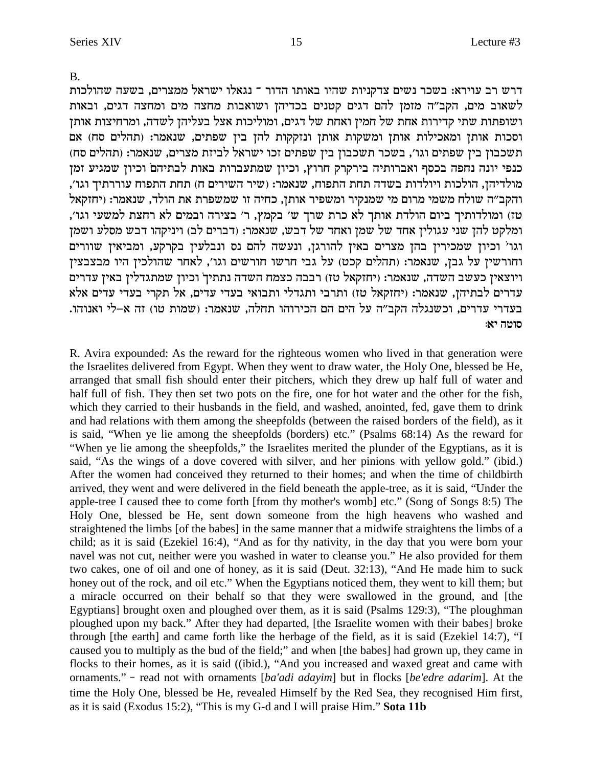$B<sub>1</sub>$ 

דרש רב עוירא: בשכר נשים צדקניות שהיו באותו הדור ־ נגאלו ישראל ממצרים, בשעה שהולכות לשאוב מים, הקב"ה מזמן להם דגים קטנים בכדיהן ושואבות מחצה מים ומחצה דגים, ובאות ושופתות שתי קדירות אחת של חמין ואחת של דגים, ומוליכות אצל בעליהן לשדה, ומרחיצות אותן וסכות אותן ומאכילות אותן ומשקות אותן ונזקקות להן בין שפתים, שנאמר: (תהלים סח) אם תשכבון בין שפתים וגו', בשכר תשכבון בין שפתים זכו ישראל לביזת מצרים, שנאמר: (תהלים סח) כנפי יונה נחפה בכסף ואברותיה בירקרק חרוץ, וכיון שמתעברות באות לבתיהם וכיון שמגיע זמן מולדיהן, הולכות ויולדות בשדה תחת התפוח, שנאמר: (שיר השירים ח) תחת התפוח עוררתיך וגו', והקב"ה שולח משמי מרום מי שמנקיר ומשפיר אותן, כחיה זו שמשפרת את הולד, שנאמר: (יחזקאל טז) ומולדותיך ביום הולדת אותך לא כרת שרך ש׳ בקמץ, ר׳ בצירה ובמים לא רחצת למשעי וגו׳, ומלקט להן שני עגולין אחד של שמן ואחד של דבש, שנאמר: (דברים לב) ויניקהו דבש מסלע ושמן וגו' וכיון שמכירין בהן מצרים באין להורגן, ונעשה להם נס ונבלעין בקרקע, ומביאין שוורים וחורשין על גבן, שנאמר: (תהלים קכט) על גבי חרשו חורשים וגו', לאחר שהולכין היו מבצבצין ויוצאין כעשב השדה, שנאמר: (יחזקאל טז) רבבה כצמח השדה נתתיך וכיון שמתגדלין באין עדרים עדרים לבתיהן, שנאמר: (יחזקאל טז) ותרבי ותגדלי ותבואי בעדי עדים, אל תקרי בעדי עדים אלא בעדרי עדרים, וכשנגלה הקב״ה על הים הם הכירוהו תחלה, שנאמר: (שמות טו) זה א–לי ואנוהו. סוטה יא:

R. Avira expounded: As the reward for the righteous women who lived in that generation were the Israelites delivered from Egypt. When they went to draw water, the Holy One, blessed be He, arranged that small fish should enter their pitchers, which they drew up half full of water and half full of fish. They then set two pots on the fire, one for hot water and the other for the fish, which they carried to their husbands in the field, and washed, anointed, fed, gave them to drink and had relations with them among the sheepfolds (between the raised borders of the field), as it is said, "When ye lie among the sheepfolds (borders) etc." (Psalms 68:14) As the reward for "When ye lie among the sheepfolds," the Israelites merited the plunder of the Egyptians, as it is said, "As the wings of a dove covered with silver, and her pinions with yellow gold." (ibid.) After the women had conceived they returned to their homes; and when the time of childbirth arrived, they went and were delivered in the field beneath the apple-tree, as it is said, "Under the apple-tree I caused thee to come forth [from thy mother's womb] etc." (Song of Songs 8:5) The Holy One, blessed be He, sent down someone from the high heavens who washed and straightened the limbs [of the babes] in the same manner that a midwife straightens the limbs of a child; as it is said (Ezekiel 16:4), "And as for thy nativity, in the day that you were born your navel was not cut, neither were you washed in water to cleanse you." He also provided for them two cakes, one of oil and one of honey, as it is said (Deut. 32:13), "And He made him to suck honey out of the rock, and oil etc." When the Egyptians noticed them, they went to kill them; but a miracle occurred on their behalf so that they were swallowed in the ground, and [the Egyptians] brought oxen and ploughed over them, as it is said (Psalms 129:3), "The ploughman ploughed upon my back." After they had departed, [the Israelite women with their babes] broke through [the earth] and came forth like the herbage of the field, as it is said (Ezekiel 14:7), "I caused you to multiply as the bud of the field;" and when [the babes] had grown up, they came in flocks to their homes, as it is said ((ibid.), "And you increased and waxed great and came with ornaments." - read not with ornaments [ba'adi adayim] but in flocks [be'edre adarim]. At the time the Holy One, blessed be He, revealed Himself by the Red Sea, they recognised Him first, as it is said (Exodus 15:2), "This is my G-d and I will praise Him." Sota 11b